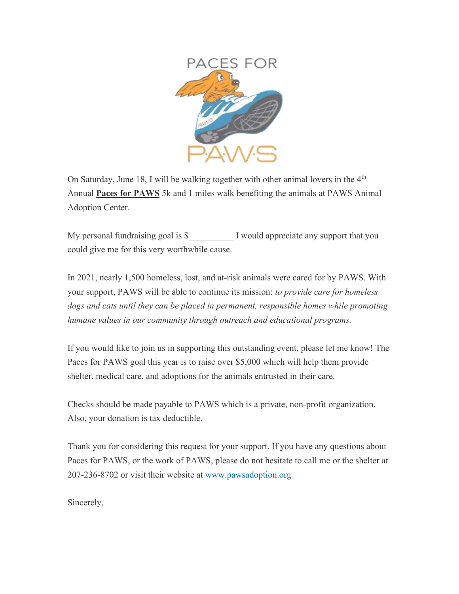

On Saturday, June 18, I will be walking together with other animal lovers in the  $4<sup>th</sup>$ Annual **Paces for PAWS** 5k and 1 miles walk benefiting the animals at PAWS Animal Adoption Center.

My personal fundraising goal is \$  $\blacksquare$  I would appreciate any support that you could give me for this very worthwhile cause.

In 2021, nearly 1,500 homeless, lost, and at-risk animals were cared for by PAWS. With your support, PAWS will be able to continue its mission: *to provide care for homeless dogs and cats until they can be placed in permanent, responsible homes while promoting humane values in our community through outreach and educational programs.*

If you would like to join us in supporting this outstanding event, please let me know! The Paces for PAWS goal this year is to raise over \$5,000 which will help them provide shelter, medical care, and adoptions for the animals entrusted in their care.

Checks should be made payable to PAWS which is a private, non-profit organization. Also, your donation is tax deductible.

Thank you for considering this request for your support. If you have any questions about Paces for PAWS, or the work of PAWS, please do not hesitate to call me or the shelter at 207-236-8702 or visit their website at [www.pawsadoption.org](http://www.pawsadoption.org/)

Sincerely,